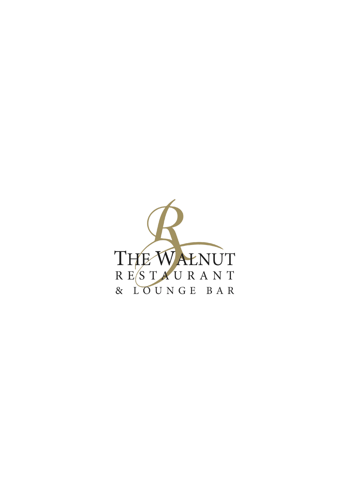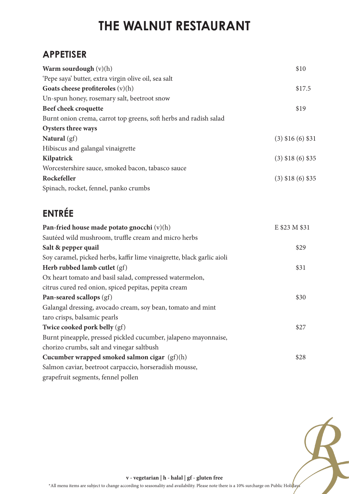### **APPETISER**

| Warm sourdough $(v)(h)$                                           | \$10                  |
|-------------------------------------------------------------------|-----------------------|
| 'Pepe saya' butter, extra virgin olive oil, sea salt              |                       |
| Goats cheese profiteroles $(v)(h)$                                | \$17.5                |
| Un-spun honey, rosemary salt, beetroot snow                       |                       |
| Beef cheek croquette                                              | \$19                  |
| Burnt onion crema, carrot top greens, soft herbs and radish salad |                       |
| Oysters three ways                                                |                       |
| Natural $(gf)$                                                    | $(3)$ \$16 $(6)$ \$31 |
| Hibiscus and galangal vinaigrette                                 |                       |
| Kilpatrick                                                        | $(3)$ \$18 $(6)$ \$35 |
| Worcestershire sauce, smoked bacon, tabasco sauce                 |                       |
| Rockefeller                                                       | $(3)$ \$18 $(6)$ \$35 |
| Spinach, rocket, fennel, panko crumbs                             |                       |

### **ENTRÉE**

| Pan-fried house made potato gnocchi $(v)(h)$                           | E \$23 M \$31 |
|------------------------------------------------------------------------|---------------|
| Sautéed wild mushroom, truffle cream and micro herbs                   |               |
| Salt & pepper quail                                                    | \$29          |
| Soy caramel, picked herbs, kaffir lime vinaigrette, black garlic aioli |               |
| Herb rubbed lamb cutlet $(gf)$                                         | \$31          |
| Ox heart tomato and basil salad, compressed watermelon,                |               |
| citrus cured red onion, spiced pepitas, pepita cream                   |               |
| Pan-seared scallops (gf)                                               | \$30          |
| Galangal dressing, avocado cream, soy bean, tomato and mint            |               |
| taro crisps, balsamic pearls                                           |               |
| Twice cooked pork belly $(gf)$                                         | \$27          |
| Burnt pineapple, pressed pickled cucumber, jalapeno mayonnaise,        |               |
| chorizo crumbs, salt and vinegar saltbush                              |               |
| Cucumber wrapped smoked salmon cigar $(gf)(h)$                         | \$28          |
| Salmon caviar, beetroot carpaccio, horseradish mousse,                 |               |
| grapefruit segments, fennel pollen                                     |               |



**v - vegetarian | h - halal | gf - gluten free**

\*All menu items are subject to change according to seasonality and availability. Please note there is a 10% surcharge on Public Holi $\frac{h}{k}$ ays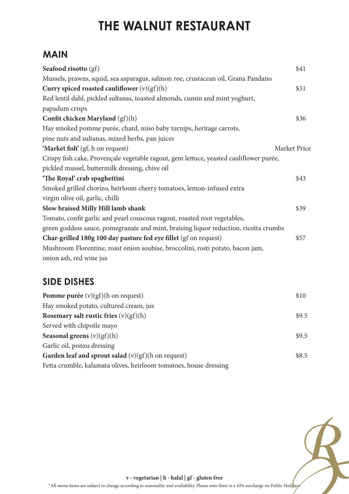#### **MAIN**

| Seafood risotto (gf)                                                                   | \$41         |
|----------------------------------------------------------------------------------------|--------------|
| Mussels, prawns, squid, sea asparagus, salmon roe, crustacean oil, Grana Pandano       |              |
| Curry spiced roasted cauliflower $(v)(gf)(h)$                                          | \$31         |
| Red lentil dahl, pickled sultanas, toasted almonds, cumin and mint yoghurt,            |              |
| papadum crisps                                                                         |              |
| Confit chicken Maryland $(gf)(h)$                                                      | \$36         |
| Hay smoked pomme purée, chard, miso baby turnips, heritage carrots,                    |              |
| pine nuts and sultanas, mixed herbs, pan juices                                        |              |
| 'Market fish' (gf, h on request)                                                       | Market Price |
| Crispy fish cake, Provençale vegetable ragout, gem lettuce, yeasted cauliflower purée, |              |
| pickled mussel, buttermilk dressing, chive oil                                         |              |
| 'The Royal' crab spaghettini                                                           | \$43         |
| Smoked grilled chorizo, heirloom cherry tomatoes, lemon-infused extra                  |              |
| virgin olive oil, garlic, chilli                                                       |              |
| Slow braised Milly Hill lamb shank                                                     | \$39         |
| Tomato, confit garlic and pearl couscous ragout, roasted root vegetables,              |              |
| green goddess sauce, pomegranate and mint, braising liquor reduction, ricotta crumbs   |              |
| Char-grilled 180g 100 day pasture fed eye fillet (gf on request)                       | \$57         |
| Mushroom Florentine, roast onion soubise, broccolini, rosti potato, bacon jam,         |              |
| onion ash, red wine jus                                                                |              |

### **SIDE DISHES**

| <b>Pomme purée</b> $(v)(gf)(h)$ on request)                       | \$10  |
|-------------------------------------------------------------------|-------|
| Hay smoked potato, cultured cream, jus                            |       |
| Rosemary salt rustic fries $(v)(gf)(h)$                           | \$9.5 |
| Served with chipotle mayo                                         |       |
| <b>Seasonal greens</b> $(v)(gf)(h)$                               | \$9.5 |
| Garlic oil, ponzu dressing                                        |       |
| Garden leaf and sprout salad $(v)(gf)(h)$ on request)             | \$8.5 |
| Fetta crumble, kalamata olives, heirloom tomatoes, house dressing |       |



**v - vegetarian | h - halal | gf - gluten free**

\*All menu items are subject to change according to seasonality and availability. Please note there is a 10% surcharge on Public Holi $\frac{h}{k}$ ays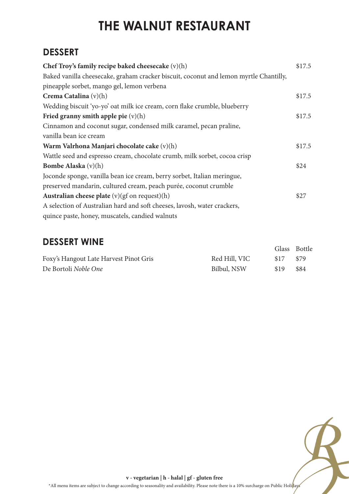### **DESSERT**

| Chef Troy's family recipe baked cheesecake $(v)(h)$                                   | \$17.5 |
|---------------------------------------------------------------------------------------|--------|
| Baked vanilla cheesecake, graham cracker biscuit, coconut and lemon myrtle Chantilly, |        |
| pineapple sorbet, mango gel, lemon verbena                                            |        |
| Crema Catalina $(v)(h)$                                                               | \$17.5 |
| Wedding biscuit 'yo-yo' oat milk ice cream, corn flake crumble, blueberry             |        |
| Fried granny smith apple pie $(v)(h)$                                                 | \$17.5 |
| Cinnamon and coconut sugar, condensed milk caramel, pecan praline,                    |        |
| vanilla bean ice cream                                                                |        |
| Warm Valrhona Manjari chocolate cake (v)(h)                                           | \$17.5 |
| Wattle seed and espresso cream, chocolate crumb, milk sorbet, cocoa crisp             |        |
| <b>Bombe Alaska</b> $(v)(h)$                                                          | \$24   |
| Joconde sponge, vanilla bean ice cream, berry sorbet, Italian meringue,               |        |
| preserved mandarin, cultured cream, peach purée, coconut crumble                      |        |
| Australian cheese plate (v)(gf on request)(h)                                         | \$27   |
| A selection of Australian hard and soft cheeses, lavosh, water crackers,              |        |
| quince paste, honey, muscatels, candied walnuts                                       |        |

#### **DESSERT WINE**

|                                        |               | Glass Bottle     |      |
|----------------------------------------|---------------|------------------|------|
| Foxy's Hangout Late Harvest Pinot Gris | Red Hill, VIC | -S <sub>17</sub> | \$79 |
| De Bortoli Noble One                   | Bilbul, NSW   | \$19             | \$84 |



**v - vegetarian | h - halal | gf - gluten free**